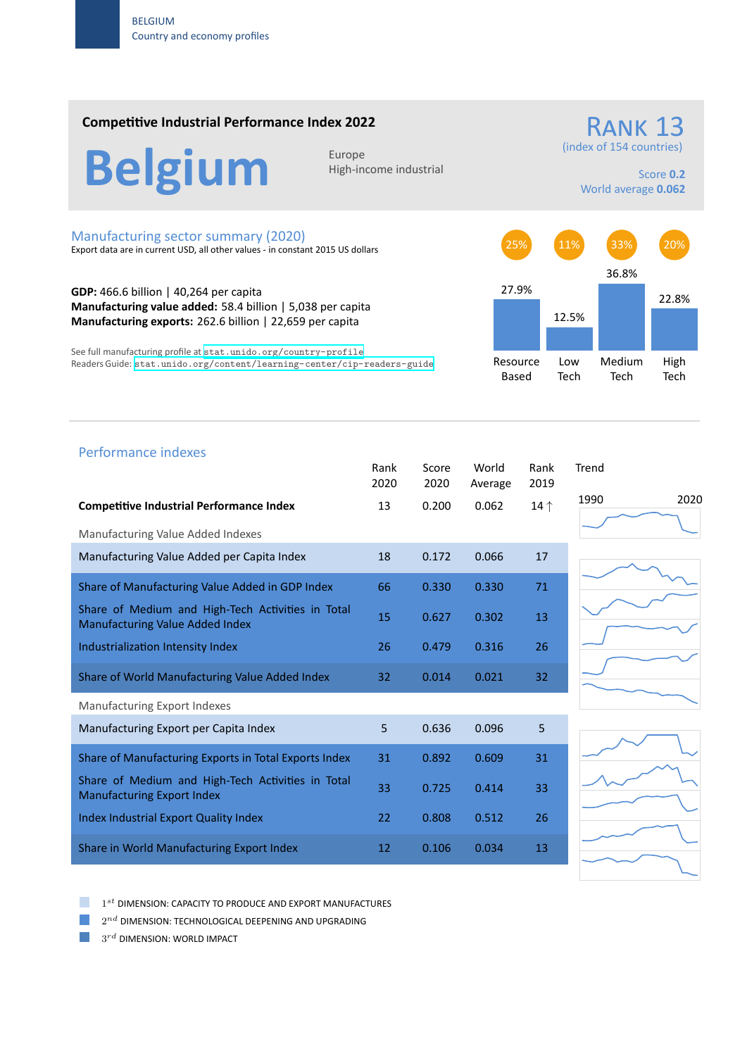### **Competitive Industrial Performance Index 2022**

RANK 13

(index of 154 countries)

Belgium **Europe** 

High‐income industrial

Score **0.2** World average **0.062**

#### Manufacturing sector summary (2020)

Export data are in current USD, all other values ‐ in constant 2015 US dollars

**GDP:** 466.6 billion | 40,264 per capita **Manufacturing value added:** 58.4 billion | 5,038 per capita **Manufacturing exports:** 262.6 billion | 22,659 per capita

See full manufacturing profile at stat.unido.org/country-profile Readers Guide: stat.unido.org/content/learning-center/cip-readers-guide



# 1990 2020 Performance indexes Rank Score World Rank Trend 2020 2020 Average 2019 **Competitive Industrial Performance Index** 13 0.200 0.062 14 *↑* Manufacturing Value Added Indexes Manufacturing Value Added per Capita Index 18 0.172 0.066 17 Share of Manufacturing Value Added in GDP Index 66 0.330 0.330 71 Share of Medium and High‐Tech Activities in Total Share of Medium and High-fech Activities in Total 15 0.627 0.302 13 Industrialization Intensity Index 26 0.479 0.316 26 Share of World Manufacturing Value Added Index 32 0.014 0.021 32 Manufacturing Export Indexes Manufacturing Export per Capita Index  $\begin{array}{cccc} 5 & 0.636 & 0.096 & 5 \end{array}$ Share of Manufacturing Exports in Total Exports Index 31 0.892 0.609 31 Share of Medium and High‐Tech Activities in Total Share of Medium and High-fech Activities in fotor 33 0.725 0.414 33<br>Manufacturing Export Index Index Industrial Export Quality Index 22 0.808 0.512 26 Share in World Manufacturing Export Index 12 0.106 0.034 13

1 *st* DIMENSION: CAPACITY TO PRODUCE AND EXPORT MANUFACTURES

 $2^{nd}$  DIMENSION: TECHNOLOGICAL DEEPENING AND UPGRADING

 $3^{rd}$  DIMENSION: WORLD IMPACT